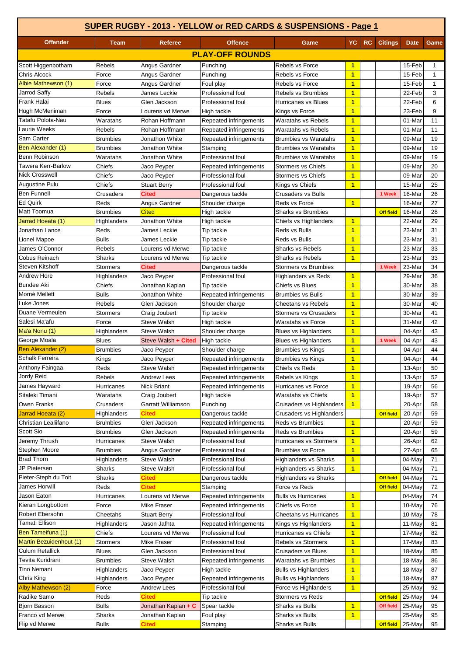| SUPER RUGBY - 2013 - YELLOW or RED CARDS & SUSPENSIONS - Page 1 |                 |                     |                        |                              |                         |     |                  |             |              |
|-----------------------------------------------------------------|-----------------|---------------------|------------------------|------------------------------|-------------------------|-----|------------------|-------------|--------------|
| <b>Offender</b>                                                 | Team            | <b>Referee</b>      | <b>Offence</b>         | Game                         | YC.                     | RC. | <b>Citings</b>   | <b>Date</b> | Game         |
|                                                                 |                 |                     | <b>PLAY-OFF ROUNDS</b> |                              |                         |     |                  |             |              |
| Scott Higgenbotham                                              | <b>Rebels</b>   | Angus Gardner       | Punching               | Rebels vs Force              | $\mathbf{1}$            |     |                  | 15-Feb      | -1           |
| Chris Alcock                                                    | Force           | Angus Gardner       | Punching               | Rebels vs Force              | $\overline{1}$          |     |                  | 15-Feb      | $\mathbf{1}$ |
| Albie Mathewson (1)                                             | Force           | Angus Gardner       | Foul play              | Rebels vs Force              | $\overline{1}$          |     |                  | 15-Feb      | $\mathbf{1}$ |
| Jarrod Saffy                                                    | Rebels          | James Leckie        | Professional foul      | <b>Rebels vs Brumbies</b>    | $\overline{1}$          |     |                  | 22-Feb      | 3            |
| Frank Halai                                                     | <b>Blues</b>    | Glen Jackson        | Professional foul      | <b>Hurricanes vs Blues</b>   | $\overline{1}$          |     |                  | 22-Feb      | 6            |
| Hugh McMeniman                                                  | Force           | Lourens vd Merwe    | High tackle            | Kings vs Force               | $\overline{1}$          |     |                  | 23-Feb      | 9            |
| Tatafu Polota-Nau                                               | Waratahs        | Rohan Hoffmann      | Repeated infringements | Waratahs vs Rebels           | $\overline{1}$          |     |                  | 01-Mar      | 11           |
| Laurie Weeks                                                    | Rebels          | Rohan Hoffmann      | Repeated infringements | <b>Waratahs vs Rebels</b>    | $\overline{1}$          |     |                  | 01-Mar      | 11           |
| Sam Carter                                                      | <b>Brumbies</b> | Jonathon White      | Repeated infringements | <b>Brumbies vs Waratahs</b>  | $\overline{1}$          |     |                  | 09-Mar      | 19           |
| Ben Alexander (1)                                               | <b>Brumbies</b> | Jonathon White      | Stamping               | <b>Brumbies vs Waratahs</b>  | $\overline{1}$          |     |                  | 09-Mar      | 19           |
| Benn Robinson                                                   | Waratahs        | Jonathon White      | Professional foul      | <b>Brumbies vs Waratahs</b>  | $\overline{1}$          |     |                  | 09-Mar      | 19           |
| Tawera Kerr-Barlow                                              | Chiefs          | Jaco Peyper         | Repeated infringements | <b>Stormers vs Chiefs</b>    | $\overline{1}$          |     |                  | 09-Mar      | 20           |
| <b>Nick Crosswell</b>                                           | Chiefs          | Jaco Peyper         | Professional foul      | <b>Stormers vs Chiefs</b>    | $\overline{1}$          |     |                  | 09-Mar      | 20           |
| Augustine Pulu                                                  | Chiefs          | <b>Stuart Berry</b> | Professional foul      | Kings vs Chiefs              | $\overline{\mathbf{1}}$ |     |                  | 15-Mar      | 25           |
| <b>Ben Funnell</b>                                              | Crusaders       | Cited               | Dangerous tackle       | <b>Crusaders vs Bulls</b>    |                         |     | 1 Week           | 16-Mar      | 26           |
| <b>Ed Quirk</b>                                                 | Reds            | Angus Gardner       | Shoulder charge        | Reds vs Force                | $\overline{1}$          |     |                  | 16-Mar      | 27           |
| <b>Matt Toomua</b>                                              | <b>Brumbies</b> | <b>Cited</b>        | High tackle            | <b>Sharks vs Brumbies</b>    |                         |     | <b>Off field</b> | 16-Mar      | 28           |
| Jarrad Hoeata (1)                                               | Highlanders     | Jonathon White      | High tackle            | Chiefs vs Highlanders        | $\blacktriangleleft$    |     |                  | 22-Mar      | 29           |
| Jonathan Lance                                                  | Reds            | James Leckie        | Tip tackle             | Reds vs Bulls                | $\overline{1}$          |     |                  | 23-Mar      | 31           |
| Lionel Mapoe                                                    | <b>Bulls</b>    | James Leckie        | Tip tackle             | Reds vs Bulls                | $\overline{1}$          |     |                  | 23-Mar      | 31           |
| James O'Connor                                                  | <b>Rebels</b>   | Lourens vd Merwe    | Tip tackle             | Sharks vs Rebels             | $\overline{1}$          |     |                  | 23-Mar      | 33           |
| Cobus Reinach                                                   | <b>Sharks</b>   | Lourens vd Merwe    | Tip tackle             | Sharks vs Rebels             | $\overline{1}$          |     |                  | 23-Mar      | 33           |
| Steven Kitshoff                                                 | <b>Stormers</b> | <b>Cited</b>        | Dangerous tackle       | <b>Stormers vs Brumbies</b>  |                         |     | 1 Week           | 23-Mar      | 34           |
| Andrew Hore                                                     | Highlanders     | Jaco Peyper         | Professional foul      | <b>Highlanders vs Reds</b>   | $\blacktriangleleft$    |     |                  | 29-Mar      | 36           |
| <b>Bundee Aki</b>                                               | Chiefs          | Jonathan Kaplan     | Tip tackle             | Chiefs vs Blues              | $\overline{1}$          |     |                  | 30-Mar      | 38           |
| Morné Mellett                                                   | <b>Bulls</b>    | Jonathon White      | Repeated infringements | <b>Brumbies vs Bulls</b>     | $\overline{\mathbf{1}}$ |     |                  | 30-Mar      | 39           |
| Luke Jones                                                      | Rebels          | Glen Jackson        | Shoulder charge        | <b>Cheetahs vs Rebels</b>    | $\overline{1}$          |     |                  | 30-Mar      | 40           |
| Duane Vermeulen                                                 | <b>Stormers</b> | Craig Joubert       | Tip tackle             | <b>Stormers vs Crusaders</b> | $\overline{1}$          |     |                  | 30-Mar      | 41           |
| Salesi Ma'afu                                                   | Force           | Steve Walsh         | High tackle            | Waratahs vs Force            | $\overline{1}$          |     |                  | 31-Mar      | 42           |
| Ma'a Nonu (1)                                                   | Highlanders     | Steve Walsh         | Shoulder charge        | <b>Blues vs Highlanders</b>  | $\overline{1}$          |     |                  | 04-Apr      | 43           |
| George Moala                                                    | <b>Blues</b>    | Steve Walsh + Cited | High tackle            | <b>Blues vs Highlanders</b>  | $\overline{1}$          |     | 1 Week           | 04-Apr      | 43           |
| Ben Alexander (2)                                               | <b>Brumbies</b> | Jaco Peyper         | Shoulder charge        | <b>Brumbies vs Kings</b>     | $\overline{1}$          |     |                  | 04-Apr      | 44           |
| Schalk Ferreira                                                 | Kings           | Jaco Peyper         | Repeated infringements | <b>Brumbies vs Kings</b>     | $\overline{1}$          |     |                  | 04-Apr      | 44           |
| Anthony Faingaa                                                 | Reds            | Steve Walsh         | Repeated infringements | Chiefs vs Reds               | 1                       |     |                  | 13-Apr      | 50           |
| Jordy Reid                                                      | Rebels          | Andrew Lees         | Repeated infringements | Rebels vs Kings              | $\overline{1}$          |     |                  | 13-Apr      | 52           |
| James Hayward                                                   | Hurricanes      | <b>Nick Briant</b>  | Repeated infringements | Hurricanes vs Force          | $\overline{\mathbf{1}}$ |     |                  | 19-Apr      | 56           |
| Sitaleki Timani                                                 | Waratahs        | Craig Joubert       | High tackle            | Waratahs vs Chiefs           | $\overline{1}$          |     |                  | 19-Apr      | 57           |
| Owen Franks                                                     | Crusaders       | Garratt Williamson  | Punching               | Crusaders vs Highlanders     | $\overline{1}$          |     |                  | 20-Apr      | 58           |
| Jarrad Hoeata (2)                                               | Highlanders     | Cited               | Dangerous tackle       | Crusaders vs Highlanders     |                         |     | <b>Off field</b> | 20-Apr      | 59           |
| Christian Lealiifano                                            | <b>Brumbies</b> | Glen Jackson        | Repeated infringements | Reds vs Brumbies             | $\overline{1}$          |     |                  | 20-Apr      | 59           |
| Scott Sio                                                       | <b>Brumbies</b> | Glen Jackson        | Repeated infringements | Reds vs Brumbies             | $\overline{1}$          |     |                  | 20-Apr      | 59           |
| Jeremy Thrush                                                   | Hurricanes      | <b>Steve Walsh</b>  | Professional foul      | Hurricanes vs Stormers       | $\mathbf{1}$            |     |                  | 26-Apr      | 62           |
| Stephen Moore                                                   | <b>Brumbies</b> | Angus Gardner       | Professional foul      | <b>Brumbies vs Force</b>     | $\overline{1}$          |     |                  | 27-Apr      | 65           |
| <b>Brad Thorn</b>                                               | Highlanders     | <b>Steve Walsh</b>  | Professional foul      | <b>Highlanders vs Sharks</b> | $\overline{1}$          |     |                  | 04-May      | 71           |
| JP Pietersen                                                    | Sharks          | Steve Walsh         | Professional foul      | <b>Highlanders vs Sharks</b> | $\overline{1}$          |     |                  | 04-May      | 71           |
| Pieter-Steph du Toit                                            | Sharks          | Cited               | Dangerous tackle       | <b>Highlanders vs Sharks</b> |                         |     | <b>Off field</b> | 04-May      | 71           |
| James Horwill                                                   | Reds            | <b>Cited</b>        | Stamping               | Force vs Reds                |                         |     | <b>Off field</b> | 04-May      | 72           |
| Jason Eaton                                                     | Hurricanes      | Lourens vd Merwe    | Repeated infringements | <b>Bulls vs Hurricanes</b>   | $\overline{1}$          |     |                  | 04-May      | 74           |
| Kieran Longbottom                                               | Force           | <b>Mike Fraser</b>  | Repeated infringements | Chiefs vs Force              | $\overline{1}$          |     |                  | 10-May      | 76           |
| Robert Ebersohn                                                 | Cheetahs        | <b>Stuart Berry</b> | Professional foul      | Cheetahs vs Hurricanes       | $\overline{1}$          |     |                  | 10-May      | 78           |
| Tamati Ellison                                                  | Highlanders     | Jason Jafhta        | Repeated infringements | Kings vs Highlanders         | $\overline{1}$          |     |                  | 11-May      | 81           |
| Ben Tameifuna (1)                                               | Chiefs          | Lourens vd Merwe    | Professional foul      | Hurricanes vs Chiefs         | $\overline{1}$          |     |                  | 17-May      | 82           |
| <b>Martin Bezuidenhout (1)</b>                                  | <b>Stormers</b> | Mike Fraser         | Professional foul      | <b>Rebels vs Stormers</b>    | $\overline{1}$          |     |                  | 17-May      | 83           |
| Culum Retallick                                                 | <b>Blues</b>    | Glen Jackson        | Professional foul      | <b>Crusaders vs Blues</b>    | $\overline{1}$          |     |                  | 18-May      | 85           |
| Tevita Kuridrani                                                | <b>Brumbies</b> | <b>Steve Walsh</b>  | Repeated infringements | Waratahs vs Brumbies         | $\overline{1}$          |     |                  | 18-May      | 86           |
| Tino Nemani                                                     | Highlanders     | Jaco Peyper         | High tackle            | <b>Bulls vs Highlanders</b>  | $\blacktriangleleft$    |     |                  | 18-May      | 87           |
| Chris King                                                      | Highlanders     | Jaco Peyper         | Repeated infringements | <b>Bulls vs Highlanders</b>  | $\overline{1}$          |     |                  | 18-May      | 87           |
| Alby Mathewson (2)                                              | Force           | Andrew Lees         | Professional foul      | Force vs Highlanders         | $\overline{1}$          |     |                  | 25-May      | 92           |
| Radike Samo                                                     | Reds            | Cited               | Tip tackle             | Stormers vs Reds             |                         |     | <b>Off field</b> | 25-May      | 94           |
| <b>Bjorn Basson</b>                                             | <b>Bulls</b>    | Jonathan Kaplan + C | Spear tackle           | Sharks vs Bulls              | $\overline{\mathbf{1}}$ |     | Off field        | 25-May      | 95           |
| Franco vd Merwe                                                 | Sharks          | Jonathan Kaplan     | Foul play              | Sharks vs Bulls              | $\overline{1}$          |     |                  | 25-May      | 95           |
| Flip vd Merwe                                                   | <b>Bulls</b>    | Cited               | Stamping               | Sharks vs Bulls              |                         |     | <b>Off field</b> | 25-May      | 95           |